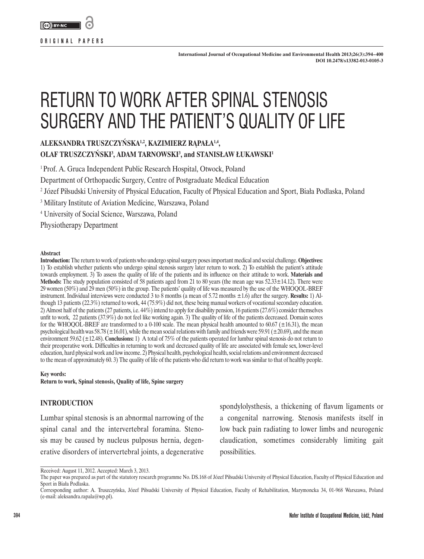

**ORIGINAL PAPERS**

# RETURN TO WORK AFTER SPINAL STENOSIS SURGERY AND THE PATIENT'S QUALITY OF LIFE

# **ALEKSANDRA TRUSZCZYŃSKA1,2, KAZIMIERZ RĄPAŁA1,4,**

**OLAF TRUSZCZYŃSKI<sup>3</sup> , ADAM TARNOWSKI3 , and STANISŁAW ŁUKAWSKI<sup>1</sup>**

<sup>1</sup> Prof. A. Gruca Independent Public Research Hospital, Otwock, Poland

Department of Orthopaedic Surgery, Centre of Postgraduate Medical Education

2 Józef Piłsudski University of Physical Education, Faculty of Physical Education and Sport, Biała Podlaska, Poland

3 Military Institute of Aviation Medicine, Warszawa, Poland

4 University of Social Science, Warszawa, Poland

Physiotherapy Department

#### **Abstract**

**Introduction:** The return to work of patients who undergo spinal surgery poses important medical and social challenge. **Objectives:** 1) To establish whether patients who undergo spinal stenosis surgery later return to work. 2) To establish the patient's attitude towards employment. 3) To assess the quality of life of the patients and its influence on their attitude to work. **Materials and Methods:** The study population consisted of 58 patients aged from 21 to 80 years (the mean age was 52.33±14.12). There were 29 women (50%) and 29 men (50%) in the group. The patients' quality of life was measured by the use of the WHOQOL-BREF instrument. Individual interviews were conducted 3 to 8 months (a mean of 5.72 months ±1.6) after the surgery. **Results:** 1) Although 13 patients (22.3%) returned to work, 44 (75.9%) did not, these being manual workers of vocational secondary education. 2) Almost half of the patients (27 patients, i.e. 44%) intend to apply for disability pension, 16 patients (27.6%) consider themselves unfit to work, 22 patients (37.9%) do not feel like working again. 3) The quality of life of the patients decreased. Domain scores for the WHOQOL-BREF are transformed to a 0-100 scale. The mean physical health amounted to 60.67 ( $\pm$ 16.31), the mean psychological health was 58.78 ( $\pm 16.01$ ), while the mean social relations with family and friends were 59.91 ( $\pm 20.69$ ), and the mean environment 59.62 (±12.48). **Conclusions:** 1) A total of 75% of the patients operated for lumbar spinal stenosis do not return to their preoperative work. Difficulties in returning to work and decreased quality of life are associated with female sex, lower-level education, hard physical work and low income. 2) Physical health, psychological health, social relations and environment decreased to the mean of approximately 60. 3) The quality of life of the patients who did return to work was similar to that of healthy people.

#### **Key words:**

**Return to work, Spinal stenosis, Quality of life, Spine surgery**

### **INTRODUCTION**

Lumbar spinal stenosis is an abnormal narrowing of the spinal canal and the intervertebral foramina. Stenosis may be caused by nucleus pulposus hernia, degenerative disorders of intervertebral joints, a degenerative

spondylolysthesis, a thickening of flavum ligaments or a congenital narrowing. Stenosis manifests itself in low back pain radiating to lower limbs and neurogenic claudication, sometimes considerably limiting gait possibilities.

Received: August 11, 2012. Accepted: March 3, 2013.

The paper was prepared as part of the statutory research programme No. DS.168 of Józef Piłsudski University of Physical Education, Faculty of Physical Education and Sport in Biała Podlaska.

Corresponding author: A. Truszczyńska, Józef Piłsudski University of Physical Education, Faculty of Rehabilitation, Marymoncka 34, 01-968 Warszawa, Poland (e-mail: aleksandra.rapala@wp.pl).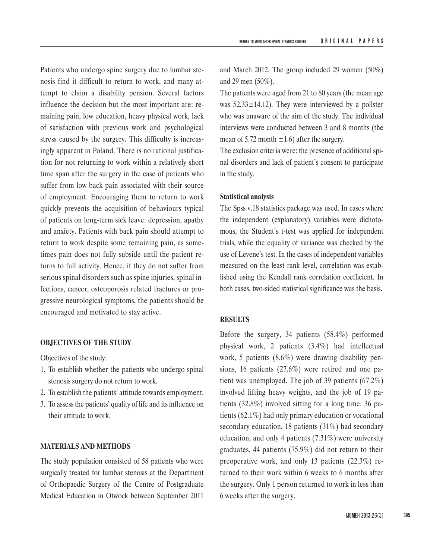Patients who undergo spine surgery due to lumbar stenosis find it difficult to return to work, and many attempt to claim a disability pension. Several factors influence the decision but the most important are: remaining pain, low education, heavy physical work, lack of satisfaction with previous work and psychological stress caused by the surgery. This difficulty is increasingly apparent in Poland. There is no rational justification for not returning to work within a relatively short time span after the surgery in the case of patients who suffer from low back pain associated with their source of employment. Encouraging them to return to work quickly prevents the acquisition of behaviours typical of patients on long-term sick leave: depression, apathy and anxiety. Patients with back pain should attempt to return to work despite some remaining pain, as sometimes pain does not fully subside until the patient returns to full activity. Hence, if they do not suffer from serious spinal disorders such as spine injuries, spinal infections, cancer, osteoporosis related fractures or progressive neurological symptoms, the patients should be encouraged and motivated to stay active.

## **OBJECTIVES OF THE STUDY**

Objectives of the study:

- 1. To establish whether the patients who undergo spinal stenosis surgery do not return to work.
- 2. To establish the patients' attitude towards employment.
- 3. To assess the patients' quality of life and its influence on their attitude to work.

#### **MATERIALS AND METHODS**

The study population consisted of 58 patients who were surgically treated for lumbar stenosis at the Department of Orthopaedic Surgery of the Centre of Postgraduate Medical Education in Otwock between September 2011

and March 2012. The group included 29 women (50%) and 29 men (50%).

The patients were aged from 21 to 80 years (the mean age was  $52.33 \pm 14.12$ ). They were interviewed by a pollster who was unaware of the aim of the study. The individual interviews were conducted between 3 and 8 months (the mean of 5.72 month  $\pm$ 1.6) after the surgery.

The exclusion criteria were: the presence of additional spinal disorders and lack of patient's consent to participate in the study.

#### **Statistical analysis**

The Spss v.18 statistics package was used. In cases where the independent (explanatory) variables were dichotomous, the Student's t-test was applied for independent trials, while the equality of variance was checked by the use of Levene's test. In the cases of independent variables measured on the least rank level, correlation was established using the Kendall rank correlation coefficient. In both cases, two-sided statistical significance was the basis.

#### **RESULTS**

Before the surgery, 34 patients (58.4%) performed physical work, 2 patients (3.4%) had intellectual work, 5 patients (8.6%) were drawing disability pensions, 16 patients (27.6%) were retired and one patient was unemployed. The job of 39 patients (67.2%) involved lifting heavy weights, and the job of 19 patients (32.8%) involved sitting for a long time. 36 patients (62.1%) had only primary education or vocational secondary education, 18 patients (31%) had secondary education, and only 4 patients (7.31%) were university graduates. 44 patients (75.9%) did not return to their preoperative work, and only 13 patients (22.3%) returned to their work within 6 weeks to 6 months after the surgery. Only 1 person returned to work in less than 6 weeks after the surgery.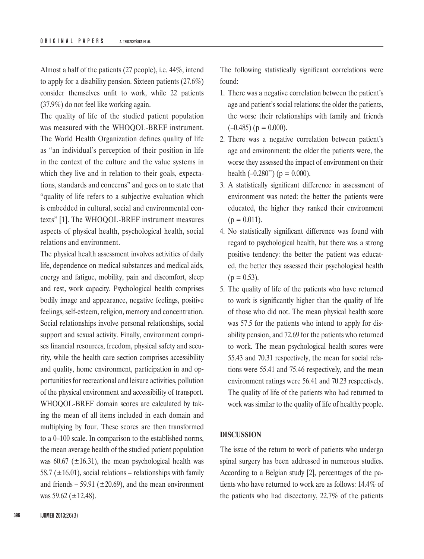Almost a half of the patients (27 people), i.e. 44%, intend to apply for a disability pension. Sixteen patients (27.6%) consider themselves unfit to work, while 22 patients (37.9%) do not feel like working again.

The quality of life of the studied patient population was measured with the WHOQOL-BREF instrument. The World Health Organization defines quality of life as "an individual's perception of their position in life in the context of the culture and the value systems in which they live and in relation to their goals, expectations, standards and concerns" and goes on to state that "quality of life refers to a subjective evaluation which is embedded in cultural, social and environmental contexts" [1]. The WHOQOL-BREF instrument measures aspects of physical health, psychological health, social relations and environment.

The physical health assessment involves activities of daily life, dependence on medical substances and medical aids, energy and fatigue, mobility, pain and discomfort, sleep and rest, work capacity. Psychological health comprises bodily image and appearance, negative feelings, positive feelings, self-esteem, religion, memory and concentration. Social relationships involve personal relationships, social support and sexual activity. Finally, environment comprises financial resources, freedom, physical safety and security, while the health care section comprises accessibility and quality, home environment, participation in and opportunities for recreational and leisure activities, pollution of the physical environment and accessibility of transport. WHOQOL-BREF domain scores are calculated by taking the mean of all items included in each domain and multiplying by four. These scores are then transformed to a 0–100 scale. In comparison to the established norms, the mean average health of the studied patient population was 60.67 ( $\pm$ 16.31), the mean psychological health was 58.7 ( $\pm$ 16.01), social relations – relationships with family and friends – 59.91 ( $\pm$ 20.69), and the mean environment was 59.62 ( $\pm$ 12.48).

The following statistically significant correlations were found:

- 1. There was a negative correlation between the patient's age and patient's social relations: the older the patients, the worse their relationships with family and friends  $(-0.485)$  (p = 0.000).
- 2. There was a negative correlation between patient's age and environment: the older the patients were, the worse they assessed the impact of environment on their health  $(-0.280^{\ast\ast})$  (p = 0.000).
- 3. A statistically significant difference in assessment of environment was noted: the better the patients were educated, the higher they ranked their environment  $(p = 0.011)$ .
- 4. No statistically significant difference was found with regard to psychological health, but there was a strong positive tendency: the better the patient was educated, the better they assessed their psychological health  $(p = 0.53)$ .
- 5. The quality of life of the patients who have returned to work is significantly higher than the quality of life of those who did not. The mean physical health score was 57.5 for the patients who intend to apply for disability pension, and 72.69 for the patients who returned to work. The mean psychological health scores were 55.43 and 70.31 respectively, the mean for social relations were 55.41 and 75.46 respectively, and the mean environment ratings were 56.41 and 70.23 respectively. The quality of life of the patients who had returned to work was similar to the quality of life of healthy people.

#### **DISCUSSION**

The issue of the return to work of patients who undergo spinal surgery has been addressed in numerous studies. According to a Belgian study [2], percentages of the patients who have returned to work are as follows: 14.4% of the patients who had discectomy, 22.7% of the patients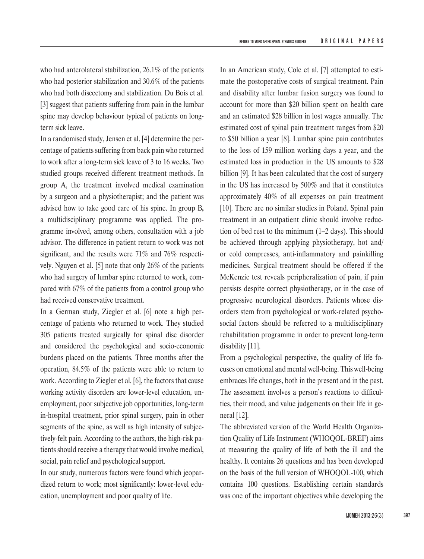who had anterolateral stabilization, 26.1% of the patients who had posterior stabilization and 30.6% of the patients who had both discectomy and stabilization. Du Bois et al. [3] suggest that patients suffering from pain in the lumbar spine may develop behaviour typical of patients on longterm sick leave.

In a randomised study, Jensen et al. [4] determine the percentage of patients suffering from back pain who returned to work after a long-term sick leave of 3 to 16 weeks. Two studied groups received different treatment methods. In group A, the treatment involved medical examination by a surgeon and a physiotherapist; and the patient was advised how to take good care of his spine. In group B**,** a multidisciplinary programme was applied. The programme involved, among others, consultation with a job advisor. The difference in patient return to work was not significant, and the results were 71% and 76% respectively. Nguyen et al. [5] note that only 26% of the patients who had surgery of lumbar spine returned to work, compared with 67% of the patients from a control group who had received conservative treatment.

In a German study, Ziegler et al. [6] note a high percentage of patients who returned to work. They studied 305 patients treated surgically for spinal disc disorder and considered the psychological and socio-economic burdens placed on the patients. Three months after the operation, 84.5% of the patients were able to return to work. According to Ziegler et al. [6], the factors that cause working activity disorders are lower-level education, unemployment, poor subjective job opportunities, long-term in-hospital treatment, prior spinal surgery, pain in other segments of the spine, as well as high intensity of subjectively-felt pain. According to the authors, the high-risk patients should receive a therapy that would involve medical, social, pain relief and psychological support.

In our study, numerous factors were found which jeopardized return to work; most significantly: lower-level education, unemployment and poor quality of life.

In an American study, Cole et al. [7] attempted to estimate the postoperative costs of surgical treatment. Pain and disability after lumbar fusion surgery was found to account for more than \$20 billion spent on health care and an estimated \$28 billion in lost wages annually. The estimated cost of spinal pain treatment ranges from \$20 to \$50 billion a year [8]. Lumbar spine pain contributes to the loss of 159 million working days a year, and the estimated loss in production in the US amounts to \$28 billion [9]. It has been calculated that the cost of surgery in the US has increased by 500% and that it constitutes approximately 40% of all expenses on pain treatment [10]. There are no similar studies in Poland. Spinal pain treatment in an outpatient clinic should involve reduction of bed rest to the minimum (1–2 days). This should be achieved through applying physiotherapy, hot and/ or cold compresses, anti-inflammatory and painkilling medicines. Surgical treatment should be offered if the McKenzie test reveals peripheralization of pain, if pain persists despite correct physiotherapy, or in the case of progressive neurological disorders. Patients whose disorders stem from psychological or work-related psychosocial factors should be referred to a multidisciplinary rehabilitation programme in order to prevent long-term disability [11].

From a psychological perspective, the quality of life focuses on emotional and mental well-being. This well-being embraces life changes, both in the present and in the past. The assessment involves a person's reactions to difficulties, their mood, and value judgements on their life in general [12].

The abbreviated version of the World Health Organization Quality of Life Instrument (WHOQOL-BREF) aims at measuring the quality of life of both the ill and the healthy. It contains 26 questions and has been developed on the basis of the full version of WHOQOL-100, which contains 100 questions. Establishing certain standards was one of the important objectives while developing the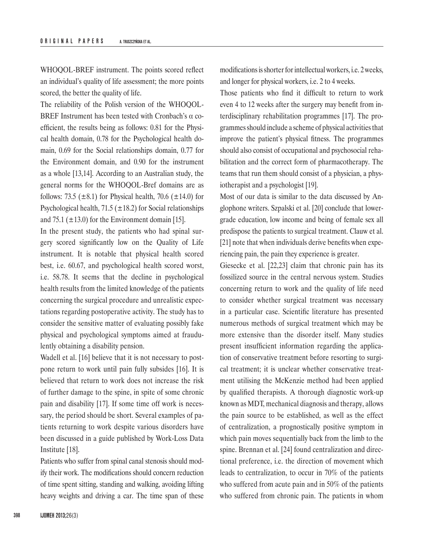WHOQOL-BREF instrument. The points scored reflect an individual's quality of life assessment; the more points scored, the better the quality of life.

The reliability of the Polish version of the WHOQOL-BREF Instrument has been tested with Cronbach's α coefficient, the results being as follows: 0.81 for the Physical health domain, 0.78 for the Psychological health domain, 0.69 for the Social relationships domain, 0.77 for the Environment domain, and 0.90 for the instrument as a whole [13,14]. According to an Australian study, the general norms for the WHOQOL-Bref domains are as follows: 73.5 ( $\pm$ 8.1) for Physical health, 70.6 ( $\pm$ 14.0) for Psychological health, 71.5 ( $\pm$ 18.2) for Social relationships and 75.1 ( $\pm$ 13.0) for the Environment domain [15].

In the present study, the patients who had spinal surgery scored significantly low on the Quality of Life instrument. It is notable that physical health scored best, i.e. 60.67, and psychological health scored worst, i.e. 58.78. It seems that the decline in psychological health results from the limited knowledge of the patients concerning the surgical procedure and unrealistic expectations regarding postoperative activity. The study has to consider the sensitive matter of evaluating possibly fake physical and psychological symptoms aimed at fraudulently obtaining a disability pension.

Wadell et al. [16] believe that it is not necessary to postpone return to work until pain fully subsides [16]. It is believed that return to work does not increase the risk of further damage to the spine, in spite of some chronic pain and disability [17]. If some time off work is necessary, the period should be short. Several examples of patients returning to work despite various disorders have been discussed in a guide published by Work-Loss Data Institute [18].

Patients who suffer from spinal canal stenosis should modify their work. The modifications should concern reduction of time spent sitting, standing and walking, avoiding lifting heavy weights and driving a car. The time span of these modifications is shorter for intellectual workers, i.e. 2weeks, and longer for physical workers, i.e. 2 to 4 weeks.

Those patients who find it difficult to return to work even 4 to 12 weeks after the surgery may benefit from interdisciplinary rehabilitation programmes [17]. The programmes should include a scheme of physical activities that improve the patient's physical fitness. The programmes should also consist of occupational and psychosocial rehabilitation and the correct form of pharmacotherapy. The teams that run them should consist of a physician, a physiotherapist and a psychologist [19].

Most of our data is similar to the data discussed by Anglophone writers. Szpalski et al. [20] conclude that lowergrade education, low income and being of female sex all predispose the patients to surgical treatment. Clauw et al. [21] note that when individuals derive benefits when experiencing pain, the pain they experience is greater.

Giesecke et al. [22,23] claim that chronic pain has its fossilized source in the central nervous system. Studies concerning return to work and the quality of life need to consider whether surgical treatment was necessary in a particular case. Scientific literature has presented numerous methods of surgical treatment which may be more extensive than the disorder itself. Many studies present insufficient information regarding the application of conservative treatment before resorting to surgical treatment; it is unclear whether conservative treatment utilising the McKenzie method had been applied by qualified therapists. A thorough diagnostic work-up known as MDT, mechanical diagnosis and therapy, allows the pain source to be established, as well as the effect of centralization, a prognostically positive symptom in which pain moves sequentially back from the limb to the spine. Brennan et al. [24] found centralization and directional preference, i.e. the direction of movement which leads to centralization, to occur in 70% of the patients who suffered from acute pain and in 50% of the patients who suffered from chronic pain. The patients in whom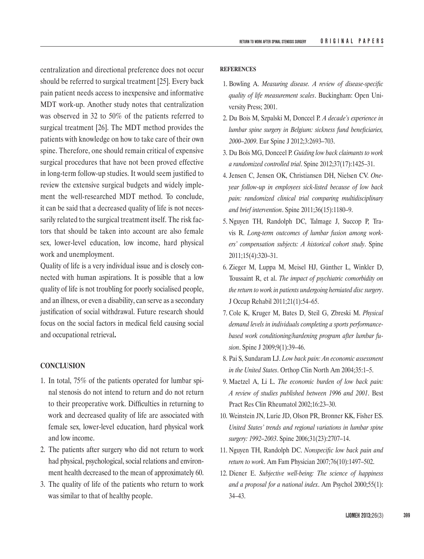centralization and directional preference does not occur should be referred to surgical treatment [25]. Every back pain patient needs access to inexpensive and informative MDT work-up. Another study notes that centralization was observed in 32 to 50% of the patients referred to surgical treatment [26]. The MDT method provides the patients with knowledge on how to take care of their own spine. Therefore, one should remain critical of expensive surgical procedures that have not been proved effective in long-term follow-up studies. It would seem justified to review the extensive surgical budgets and widely implement the well-researched MDT method. To conclude, it can be said that a decreased quality of life is not necessarily related to the surgical treatment itself. The risk factors that should be taken into account are also female sex, lower-level education, low income, hard physical work and unemployment.

Quality of life is a very individual issue and is closely connected with human aspirations. It is possible that a low quality of life is not troubling for poorly socialised people, and an illness, or even a disability, can serve as a secondary justification of social withdrawal. Future research should focus on the social factors in medical field causing social and occupational retrieval**.**

## **CONCLUSION**

- 1. In total, 75% of the patients operated for lumbar spinal stenosis do not intend to return and do not return to their preoperative work. Difficulties in returning to work and decreased quality of life are associated with female sex, lower-level education, hard physical work and low income.
- 2. The patients after surgery who did not return to work had physical, psychological, social relations and environment health decreased to the mean of approximately 60.
- 3. The quality of life of the patients who return to work was similar to that of healthy people.

#### **REFERENCES**

- 1.  Bowling A. *Measuring disease. A review of disease-specific quality of life measurement scales*. Buckingham: Open University Press; 2001.
- 2. [Du Bois M](http://www.ncbi.nlm.nih.gov/pubmed?term=Du Bois M%5BAuthor%5D&cauthor=true&cauthor_uid=22661202), [Szpalski M,](http://www.ncbi.nlm.nih.gov/pubmed?term=Szpalski M%5BAuthor%5D&cauthor=true&cauthor_uid=22661202) [Donceel P](http://www.ncbi.nlm.nih.gov/pubmed?term=Donceel P%5BAuthor%5D&cauthor=true&cauthor_uid=22661202). *A decade's experience in lumbar spine surgery in Belgium: sickness fund beneficiaries, 2000–2009*. Eur Spine J 2012;3:2693–703.
- 3. [Du Bois MG](http://www.ncbi.nlm.nih.gov/pubmed?term=Du Bois MG%5BAuthor%5D&cauthor=true&cauthor_uid=22343272), [Donceel P.](http://www.ncbi.nlm.nih.gov/pubmed?term=Donceel P%5BAuthor%5D&cauthor=true&cauthor_uid=22343272) *Guiding low back claimants to work a randomized controlled trial*. Spine 2012;37(17):1425–31.
- 4. [Jensen C](http://www.ncbi.nlm.nih.gov/pubmed?term=Jensen C%5BAuthor%5D&cauthor=true&cauthor_uid=21217456), [Jensen OK,](http://www.ncbi.nlm.nih.gov/pubmed?term=Jensen OK%5BAuthor%5D&cauthor=true&cauthor_uid=21217456) [Christiansen DH](http://www.ncbi.nlm.nih.gov/pubmed?term=Christiansen DH%5BAuthor%5D&cauthor=true&cauthor_uid=21217456), [Nielsen CV.](http://www.ncbi.nlm.nih.gov/pubmed?term=Nielsen CV%5BAuthor%5D&cauthor=true&cauthor_uid=21217456) *Oneyear follow-up in employees sick-listed because of low back pain: randomized clinical trial comparing multidisciplinary and brief intervention*. Spine 2011;36(15):1180–9.
- 5. [Nguyen TH](http://www.ncbi.nlm.nih.gov/pubmed?term=Nguyen TH%5BAuthor%5D&cauthor=true&cauthor_uid=20736894), [Randolph DC](http://www.ncbi.nlm.nih.gov/pubmed?term=Randolph DC%5BAuthor%5D&cauthor=true&cauthor_uid=20736894), [Talmage J,](http://www.ncbi.nlm.nih.gov/pubmed?term=Talmage J%5BAuthor%5D&cauthor=true&cauthor_uid=20736894) [Succop P,](http://www.ncbi.nlm.nih.gov/pubmed?term=Succop P%5BAuthor%5D&cauthor=true&cauthor_uid=20736894) [Tra](http://www.ncbi.nlm.nih.gov/pubmed?term=Travis R%5BAuthor%5D&cauthor=true&cauthor_uid=20736894)[vis R](http://www.ncbi.nlm.nih.gov/pubmed?term=Travis R%5BAuthor%5D&cauthor=true&cauthor_uid=20736894). *Long-term outcomes of lumbar fusion among workers' compensation subjects: A historical cohort study*. Spine 2011;15(4):320–31.
- 6. [Zieger M,](http://www.ncbi.nlm.nih.gov/pubmed?term=Zieger M%5BAuthor%5D&cauthor=true&cauthor_uid=20689982) [Luppa M](http://www.ncbi.nlm.nih.gov/pubmed?term=Luppa M%5BAuthor%5D&cauthor=true&cauthor_uid=20689982), [Meisel HJ](http://www.ncbi.nlm.nih.gov/pubmed?term=Meisel HJ%5BAuthor%5D&cauthor=true&cauthor_uid=20689982), [Günther L](http://www.ncbi.nlm.nih.gov/pubmed?term=Günther L%5BAuthor%5D&cauthor=true&cauthor_uid=20689982), [Winkler D](http://www.ncbi.nlm.nih.gov/pubmed?term=Winkler D%5BAuthor%5D&cauthor=true&cauthor_uid=20689982), [Toussaint R](http://www.ncbi.nlm.nih.gov/pubmed?term=Toussaint R%5BAuthor%5D&cauthor=true&cauthor_uid=20689982), et al. *The impact of psychiatric comorbidity on the return to work in patients undergoing herniated disc surgery*. J Occup Rehabil 2011;21(1):54–65.
- 7. [Cole K,](http://www.ncbi.nlm.nih.gov/pubmed?term=Cole K%5BAuthor%5D&cauthor=true&cauthor_uid=18805061) [Kruger M](http://www.ncbi.nlm.nih.gov/pubmed?term=Kruger M%5BAuthor%5D&cauthor=true&cauthor_uid=18805061), [Bates D](http://www.ncbi.nlm.nih.gov/pubmed?term=Bates D%5BAuthor%5D&cauthor=true&cauthor_uid=18805061), [Steil G](http://www.ncbi.nlm.nih.gov/pubmed?term=Steil G%5BAuthor%5D&cauthor=true&cauthor_uid=18805061), [Zbreski M](http://www.ncbi.nlm.nih.gov/pubmed?term=Zbreski M%5BAuthor%5D&cauthor=true&cauthor_uid=18805061). *Physical demand levels in individuals completing a sports performancebased work conditioning/hardening program after lumbar fusion*. Spine J 2009;9(1):39–46.
- 8.  Pai S, Sundaram LJ. *Low back pain: An economic assessment in the United States*. Orthop Clin North Am 2004;35:1–5.
- 9.  Maetzel A, Li L. *The economic burden of low back pain: A review of studies published between 1996 and 2001*. Best Pract Res Clin Rheumatol 2002;16:23–30.
- 10.  Weinstein JN, Lurie JD, Olson PR, Bronner KK, Fisher ES. *[United States' trends and regional variations in lumbar spine](http://www.ncbi.nlm.nih.gov/pubmed/17077740)  [surgery: 1992–2003](http://www.ncbi.nlm.nih.gov/pubmed/17077740)*. Spine 2006;31(23):2707–14.
- 11. Nguyen TH, Randolph DC. *Nonspecific low back pain and return to work*. Am Fam Physician 2007;76(10):1497–502.
- 12. Diener E. *Subjective well-being: The science of happiness and a proposal for a national index*. Am Psychol 2000;55(1): 34–43.